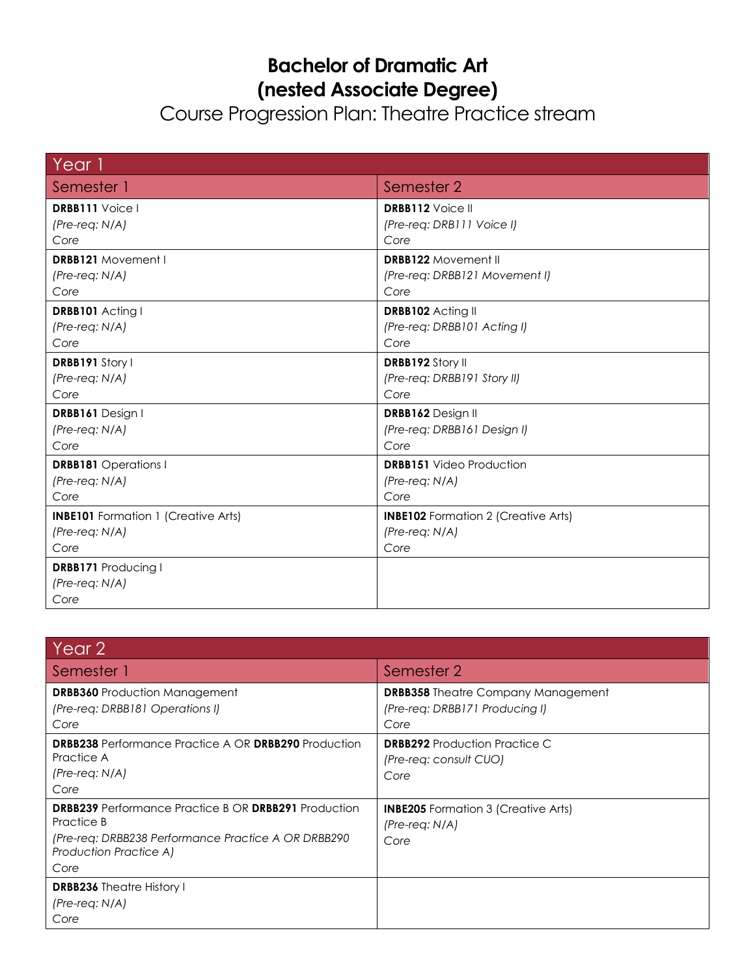## **Bachelor of Dramatic Art (nested Associate Degree)**

Course Progression Plan: Theatre Practice stream

| Year 1                                                 |                                            |
|--------------------------------------------------------|--------------------------------------------|
| Semester 1                                             | Semester 2                                 |
| <b>DRBB111</b> Voice I                                 | <b>DRBB112</b> Voice II                    |
| $(Pre-reg: N/A)$                                       | (Pre-req: DRB111 Voice I)                  |
| Core                                                   | Core                                       |
| <b>DRBB121</b> Movement I                              | <b>DRBB122 Movement II</b>                 |
| $(Pre-reg: N/A)$                                       | (Pre-req: DRBB121 Movement I)              |
| Core                                                   | Core                                       |
| DRBB101 Acting I                                       | DRBB102 Acting II                          |
| $(Pre-reg: N/A)$                                       | (Pre-req: DRBB101 Acting I)                |
| Core                                                   | Core                                       |
| DRBB191 Story I                                        | DRBB192 Story II                           |
| $(Pre-reg: N/A)$                                       | (Pre-req: DRBB191 Story II)                |
| Core                                                   | Core                                       |
| DRBB161 Design I                                       | DRBB162 Design II                          |
| $(Pre-reg: N/A)$                                       | (Pre-req: DRBB161 Design I)                |
| Core                                                   | Core                                       |
| <b>DRBB181</b> Operations I                            | <b>DRBB151</b> Video Production            |
| $(Pre-reg: N/A)$                                       | $(Pre-reg: N/A)$                           |
| Core                                                   | Core                                       |
| <b>INBE101</b> Formation 1 (Creative Arts)             | <b>INBE102</b> Formation 2 (Creative Arts) |
| $(Pre-reg: N/A)$                                       | $(Pre-reg: N/A)$                           |
| Core                                                   | Core                                       |
| <b>DRBB171 Producing I</b><br>$(Pre-reg: N/A)$<br>Core |                                            |

| Year 2                                                                                                                                                                    |                                                                                     |
|---------------------------------------------------------------------------------------------------------------------------------------------------------------------------|-------------------------------------------------------------------------------------|
| Semester 1                                                                                                                                                                | Semester 2                                                                          |
| <b>DRBB360</b> Production Management<br>(Pre-req: DRBB181 Operations I)<br>Core                                                                                           | <b>DRBB358</b> Theatre Company Management<br>(Pre-req: DRBB171 Producing I)<br>Core |
| <b>DRBB238</b> Performance Practice A OR <b>DRBB290</b> Production<br>Practice A<br>$(Pre-reg: N/A)$<br>Core                                                              | <b>DRBB292</b> Production Practice C<br>(Pre-reg: consult CUO)<br>Core              |
| <b>DRBB239</b> Performance Practice B OR DRBB291 Production<br>Practice B<br>(Pre-reg: DRBB238 Performance Practice A OR DRBB290<br><b>Production Practice A)</b><br>Core | <b>INBE205</b> Formation 3 (Creative Arts)<br>(Pre-reg: N/A)<br>Core                |
| <b>DRBB236</b> Theatre History I<br>(Pre-reg: N/A)<br>Core                                                                                                                |                                                                                     |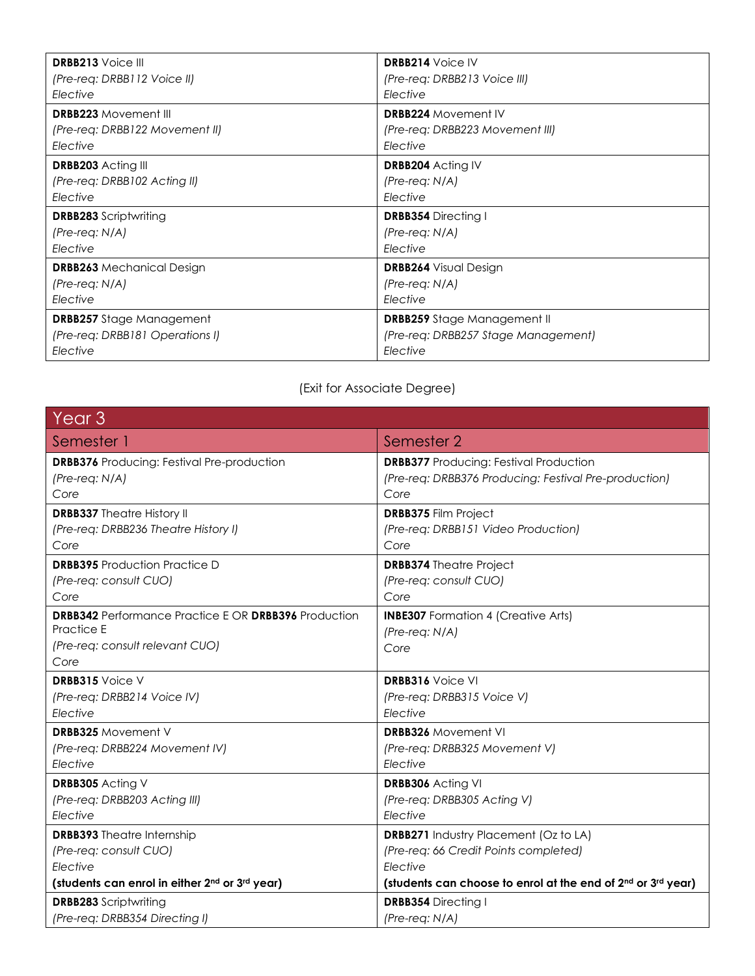| <b>DRBB213</b> Voice III         | <b>DRBB214 Voice IV</b>             |
|----------------------------------|-------------------------------------|
| (Pre-req: DRBB112 Voice II)      | (Pre-req: DRBB213 Voice III)        |
| Elective                         | Elective                            |
| <b>DRBB223 Movement III</b>      | <b>DRBB224 Movement IV</b>          |
| (Pre-req: DRBB122 Movement II)   | (Pre-req: DRBB223 Movement III)     |
| Elective                         | Elective                            |
| <b>DRBB203</b> Acting III        | <b>DRBB204</b> Acting IV            |
| (Pre-req: DRBB102 Acting II)     | $(Pre-reg: N/A)$                    |
| Elective                         | Elective                            |
| <b>DRBB283</b> Scriptwriting     | <b>DRBB354</b> Directing I          |
| $(Pre-reg: N/A)$                 | $(Pre-reg: N/A)$                    |
| Elective                         | Elective                            |
| <b>DRBB263</b> Mechanical Design | <b>DRBB264</b> Visual Design        |
| $(Pre-reg: N/A)$                 | $(Pre-reg: N/A)$                    |
| Elective                         | Elective                            |
| <b>DRBB257</b> Stage Management  | <b>DRBB259</b> Stage Management II  |
| (Pre-req: DRBB181 Operations I)  | (Pre-req: DRBB257 Stage Management) |
| Elective                         | Elective                            |

## (Exit for Associate Degree)

| Year <sub>3</sub>                                           |                                                                                      |
|-------------------------------------------------------------|--------------------------------------------------------------------------------------|
| Semester 1                                                  | Semester 2                                                                           |
| <b>DRBB376</b> Producing: Festival Pre-production           | <b>DRBB377</b> Producing: Festival Production                                        |
| $(Pre-reg: N/A)$                                            | (Pre-req: DRBB376 Producing: Festival Pre-production)                                |
| Core                                                        | Core                                                                                 |
| <b>DRBB337</b> Theatre History II                           | <b>DRBB375 Film Project</b>                                                          |
| (Pre-req: DRBB236 Theatre History I)                        | (Pre-req: DRBB151 Video Production)                                                  |
| Core                                                        | Core                                                                                 |
| <b>DRBB395</b> Production Practice D                        | <b>DRBB374</b> Theatre Project                                                       |
| (Pre-req: consult CUO)                                      | (Pre-req: consult CUO)                                                               |
| Core                                                        | Core                                                                                 |
| <b>DRBB342</b> Performance Practice E OR DRBB396 Production | <b>INBE307</b> Formation 4 (Creative Arts)                                           |
| <b>Practice E</b>                                           | (Pre-req: N/A)                                                                       |
| (Pre-req: consult relevant CUO)                             | Core                                                                                 |
| Core                                                        |                                                                                      |
| <b>DRBB315</b> Voice V                                      | <b>DRBB316</b> Voice VI                                                              |
| (Pre-req: DRBB214 Voice IV)                                 | (Pre-req: DRBB315 Voice V)                                                           |
| Elective                                                    | Elective                                                                             |
| <b>DRBB325</b> Movement V                                   | <b>DRBB326</b> Movement VI                                                           |
| (Pre-req: DRBB224 Movement IV)                              | (Pre-req: DRBB325 Movement V)                                                        |
| Elective                                                    | Flective                                                                             |
| <b>DRBB305</b> Acting V                                     | <b>DRBB306</b> Acting VI                                                             |
| (Pre-req: DRBB203 Acting III)                               | (Pre-req: DRBB305 Acting V)                                                          |
| Elective                                                    | Elective                                                                             |
| <b>DRBB393</b> Theatre Internship                           | <b>DRBB271</b> Industry Placement (Oz to LA)                                         |
| (Pre-req: consult CUO)                                      | (Pre-req: 66 Credit Points completed)                                                |
| Elective                                                    | Elective                                                                             |
| (students can enrol in either 2nd or 3rd year)              | (students can choose to enrol at the end of 2 <sup>nd</sup> or 3 <sup>rd</sup> year) |
| <b>DRBB283</b> Scriptwriting                                | <b>DRBB354 Directing I</b>                                                           |
| (Pre-req: DRBB354 Directing I)                              | (Pre-req: N/A)                                                                       |